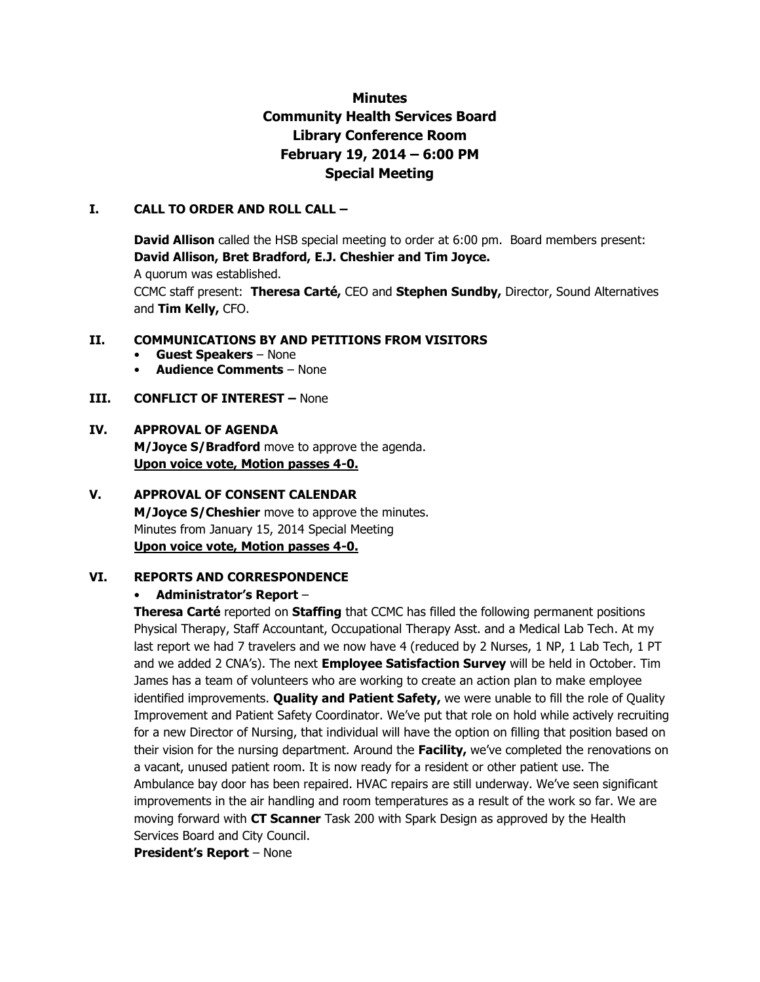# **Minutes Community Health Services Board Library Conference Room February 19, 2014 – 6:00 PM Special Meeting**

### **I. CALL TO ORDER AND ROLL CALL –**

**David Allison** called the HSB special meeting to order at 6:00 pm. Board members present: **David Allison, Bret Bradford, E.J. Cheshier and Tim Joyce.** 

A quorum was established.

CCMC staff present: **Theresa Carté,** CEO and **Stephen Sundby,** Director, Sound Alternatives and **Tim Kelly,** CFO.

#### **II. COMMUNICATIONS BY AND PETITIONS FROM VISITORS**

- **Guest Speakers**  None
- **Audience Comments**  None

### **III. CONFLICT OF INTEREST -** None

### **IV. APPROVAL OF AGENDA**

**M/Joyce S/Bradford** move to approve the agenda. **Upon voice vote, Motion passes 4-0.** 

# **V. APPROVAL OF CONSENT CALENDAR M/Joyce S/Cheshier** move to approve the minutes. Minutes from January 15, 2014 Special Meeting

# **Upon voice vote, Motion passes 4-0.**

### **VI. REPORTS AND CORRESPONDENCE**

### • **Administrator's Report** –

**Theresa Carté** reported on **Staffing** that CCMC has filled the following permanent positions Physical Therapy, Staff Accountant, Occupational Therapy Asst. and a Medical Lab Tech. At my last report we had 7 travelers and we now have 4 (reduced by 2 Nurses, 1 NP, 1 Lab Tech, 1 PT and we added 2 CNA's). The next **Employee Satisfaction Survey** will be held in October. Tim James has a team of volunteers who are working to create an action plan to make employee identified improvements. **Quality and Patient Safety,** we were unable to fill the role of Quality Improvement and Patient Safety Coordinator. We've put that role on hold while actively recruiting for a new Director of Nursing, that individual will have the option on filling that position based on their vision for the nursing department. Around the **Facility,** we've completed the renovations on a vacant, unused patient room. It is now ready for a resident or other patient use. The Ambulance bay door has been repaired. HVAC repairs are still underway. We've seen significant improvements in the air handling and room temperatures as a result of the work so far. We are moving forward with **CT Scanner** Task 200 with Spark Design as approved by the Health Services Board and City Council.

**President's Report** – None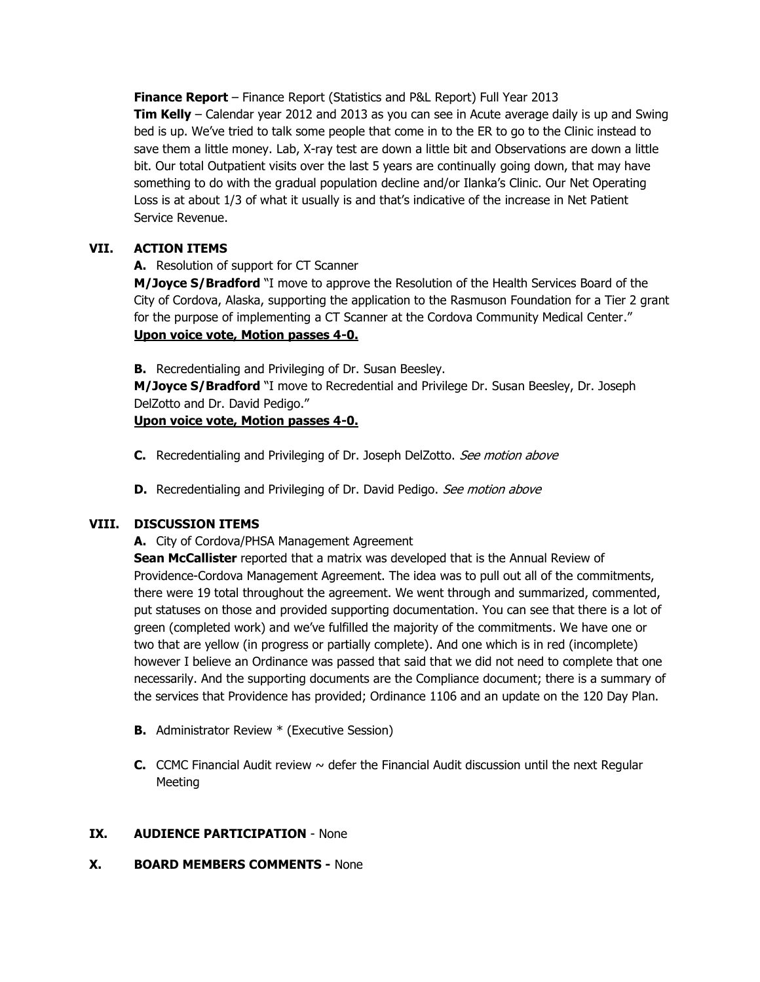**Finance Report** – Finance Report (Statistics and P&L Report) Full Year 2013 **Tim Kelly** – Calendar year 2012 and 2013 as you can see in Acute average daily is up and Swing bed is up. We've tried to talk some people that come in to the ER to go to the Clinic instead to save them a little money. Lab, X-ray test are down a little bit and Observations are down a little bit. Our total Outpatient visits over the last 5 years are continually going down, that may have something to do with the gradual population decline and/or Ilanka's Clinic. Our Net Operating Loss is at about 1/3 of what it usually is and that's indicative of the increase in Net Patient Service Revenue.

# **VII. ACTION ITEMS**

# **A.** Resolution of support for CT Scanner

**M/Joyce S/Bradford** "I move to approve the Resolution of the Health Services Board of the City of Cordova, Alaska, supporting the application to the Rasmuson Foundation for a Tier 2 grant for the purpose of implementing a CT Scanner at the Cordova Community Medical Center." **Upon voice vote, Motion passes 4-0.**

**B.** Recredentialing and Privileging of Dr. Susan Beesley.

**M/Joyce S/Bradford** "I move to Recredential and Privilege Dr. Susan Beesley, Dr. Joseph DelZotto and Dr. David Pedigo."

# **Upon voice vote, Motion passes 4-0.**

- **C.** Recredentialing and Privileging of Dr. Joseph DelZotto. See motion above
- **D.** Recredentialing and Privileging of Dr. David Pedigo. See motion above

# **VIII. DISCUSSION ITEMS**

# **A.** City of Cordova/PHSA Management Agreement

**Sean McCallister** reported that a matrix was developed that is the Annual Review of Providence-Cordova Management Agreement. The idea was to pull out all of the commitments, there were 19 total throughout the agreement. We went through and summarized, commented, put statuses on those and provided supporting documentation. You can see that there is a lot of green (completed work) and we've fulfilled the majority of the commitments. We have one or two that are yellow (in progress or partially complete). And one which is in red (incomplete) however I believe an Ordinance was passed that said that we did not need to complete that one necessarily. And the supporting documents are the Compliance document; there is a summary of the services that Providence has provided; Ordinance 1106 and an update on the 120 Day Plan.

- **B.** Administrator Review \* (Executive Session)
- **C.** CCMC Financial Audit review  $\sim$  defer the Financial Audit discussion until the next Regular Meeting

# **IX. AUDIENCE PARTICIPATION** - None

# **X. BOARD MEMBERS COMMENTS -** None